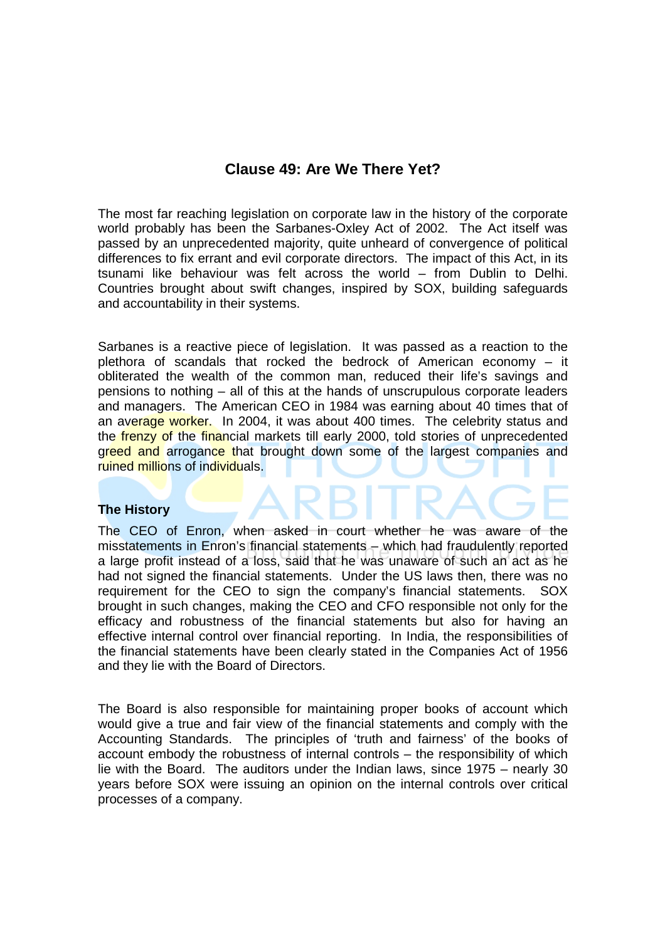# **Clause 49: Are We There Yet?**

The most far reaching legislation on corporate law in the history of the corporate world probably has been the Sarbanes-Oxley Act of 2002. The Act itself was passed by an unprecedented majority, quite unheard of convergence of political differences to fix errant and evil corporate directors. The impact of this Act, in its tsunami like behaviour was felt across the world – from Dublin to Delhi. Countries brought about swift changes, inspired by SOX, building safeguards and accountability in their systems.

Sarbanes is a reactive piece of legislation. It was passed as a reaction to the plethora of scandals that rocked the bedrock of American economy – it obliterated the wealth of the common man, reduced their life's savings and pensions to nothing – all of this at the hands of unscrupulous corporate leaders and managers. The American CEO in 1984 was earning about 40 times that of an average worker. In 2004, it was about 400 times. The celebrity status and the **frenzy of the financial markets till early 2000**, told stories of unprecedented greed and arrogance that brought down some of the largest companies and ruined millions of individuals.

### **The History**

The CEO of Enron, when asked in court whether he was aware of the misstatements in Enron's financial statements – which had fraudulently reported a large profit instead of a loss, said that he was unaware of such an act as he had not signed the financial statements. Under the US laws then, there was no requirement for the CEO to sign the company's financial statements. SOX brought in such changes, making the CEO and CFO responsible not only for the efficacy and robustness of the financial statements but also for having an effective internal control over financial reporting. In India, the responsibilities of the financial statements have been clearly stated in the Companies Act of 1956 and they lie with the Board of Directors.

The Board is also responsible for maintaining proper books of account which would give a true and fair view of the financial statements and comply with the Accounting Standards. The principles of 'truth and fairness' of the books of account embody the robustness of internal controls – the responsibility of which lie with the Board. The auditors under the Indian laws, since 1975 – nearly 30 years before SOX were issuing an opinion on the internal controls over critical processes of a company.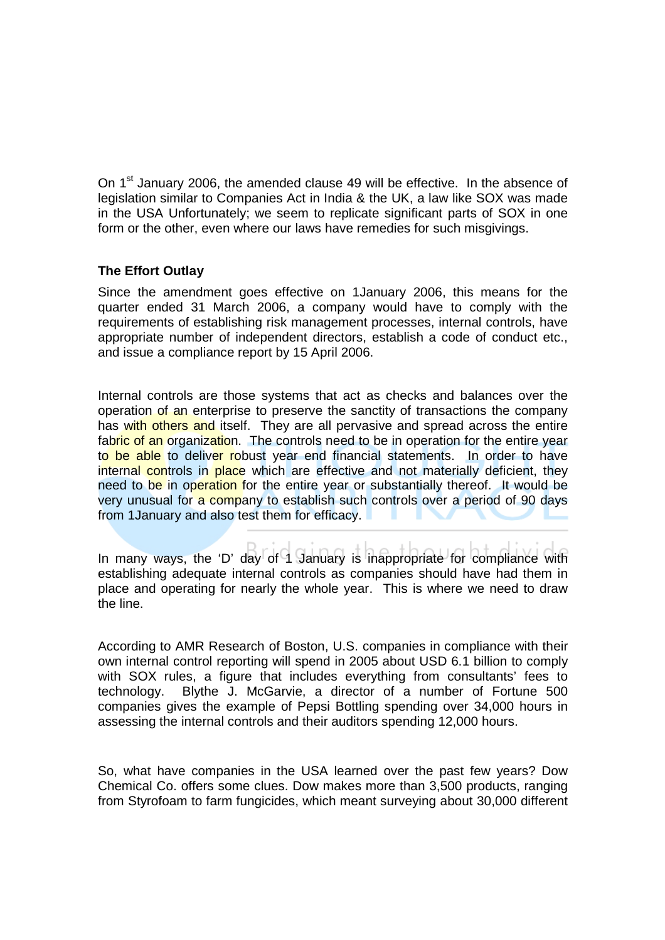On 1<sup>st</sup> January 2006, the amended clause 49 will be effective. In the absence of legislation similar to Companies Act in India & the UK, a law like SOX was made in the USA Unfortunately; we seem to replicate significant parts of SOX in one form or the other, even where our laws have remedies for such misgivings.

# **The Effort Outlay**

Since the amendment goes effective on 1January 2006, this means for the quarter ended 31 March 2006, a company would have to comply with the requirements of establishing risk management processes, internal controls, have appropriate number of independent directors, establish a code of conduct etc., and issue a compliance report by 15 April 2006.

Internal controls are those systems that act as checks and balances over the operation of an enterprise to preserve the sanctity of transactions the company has with others and itself. They are all pervasive and spread across the entire fabric of an organization. The controls need to be in operation for the entire year to be able to deliver robust year end financial statements. In order to have internal controls in place which are effective and not materially deficient, they need to be in operation for the entire year or substantially thereof. It would be very unusual for a company to establish such controls over a period of 90 days from 1January and also test them for efficacy.

In many ways, the 'D' day of 1 January is inappropriate for compliance with establishing adequate internal controls as companies should have had them in place and operating for nearly the whole year. This is where we need to draw the line.

According to AMR Research of Boston, U.S. companies in compliance with their own internal control reporting will spend in 2005 about USD 6.1 billion to comply with SOX rules, a figure that includes everything from consultants' fees to technology. Blythe J. McGarvie, a director of a number of Fortune 500 companies gives the example of Pepsi Bottling spending over 34,000 hours in assessing the internal controls and their auditors spending 12,000 hours.

So, what have companies in the USA learned over the past few years? Dow Chemical Co. offers some clues. Dow makes more than 3,500 products, ranging from Styrofoam to farm fungicides, which meant surveying about 30,000 different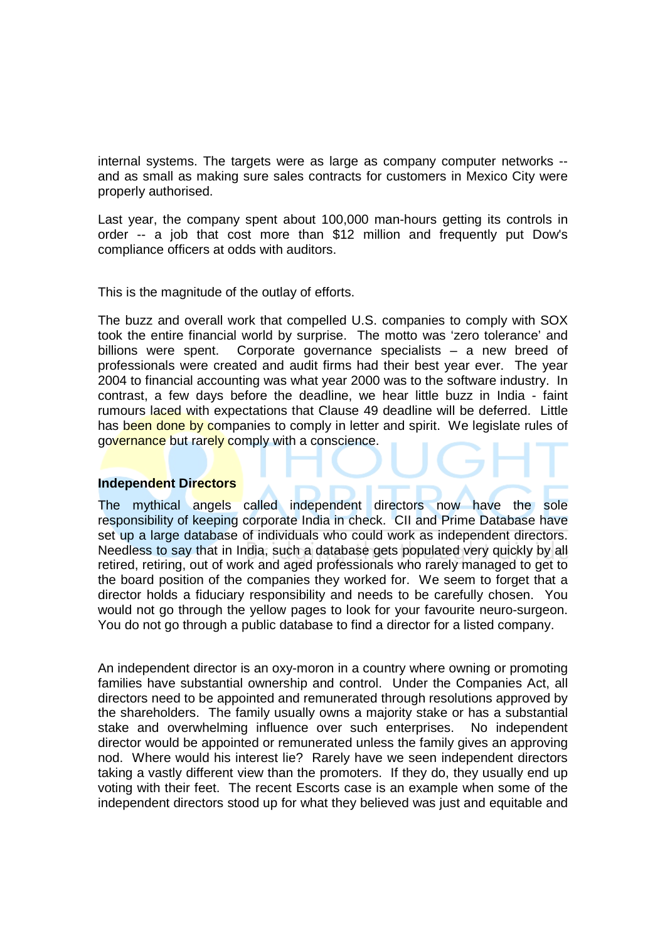internal systems. The targets were as large as company computer networks - and as small as making sure sales contracts for customers in Mexico City were properly authorised.

Last year, the company spent about 100,000 man-hours getting its controls in order -- a job that cost more than \$12 million and frequently put Dow's compliance officers at odds with auditors.

This is the magnitude of the outlay of efforts.

The buzz and overall work that compelled U.S. companies to comply with SOX took the entire financial world by surprise. The motto was 'zero tolerance' and billions were spent. Corporate governance specialists – a new breed of professionals were created and audit firms had their best year ever. The year 2004 to financial accounting was what year 2000 was to the software industry. In contrast, a few days before the deadline, we hear little buzz in India - faint rumours laced with expectations that Clause 49 deadline will be deferred. Little has been done by companies to comply in letter and spirit. We legislate rules of governance but rarely comply with a conscience.

#### **Independent Directors**

The mythical angels called independent directors now have the sole responsibility of keeping corporate India in check. CII and Prime Database have set up a large database of individuals who could work as independent directors. Needless to say that in India, such a database gets populated very quickly by all retired, retiring, out of work and aged professionals who rarely managed to get to the board position of the companies they worked for. We seem to forget that a director holds a fiduciary responsibility and needs to be carefully chosen. You would not go through the yellow pages to look for your favourite neuro-surgeon. You do not go through a public database to find a director for a listed company.

An independent director is an oxy-moron in a country where owning or promoting families have substantial ownership and control. Under the Companies Act, all directors need to be appointed and remunerated through resolutions approved by the shareholders. The family usually owns a majority stake or has a substantial stake and overwhelming influence over such enterprises. No independent director would be appointed or remunerated unless the family gives an approving nod. Where would his interest lie? Rarely have we seen independent directors taking a vastly different view than the promoters. If they do, they usually end up voting with their feet. The recent Escorts case is an example when some of the independent directors stood up for what they believed was just and equitable and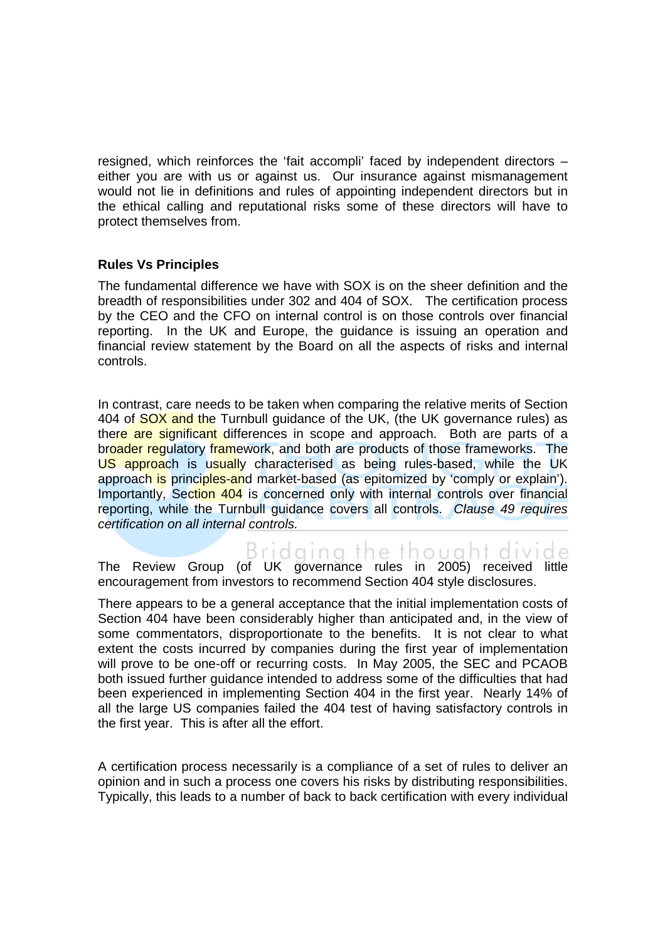resigned, which reinforces the 'fait accompli' faced by independent directors – either you are with us or against us. Our insurance against mismanagement would not lie in definitions and rules of appointing independent directors but in the ethical calling and reputational risks some of these directors will have to protect themselves from.

## **Rules Vs Principles**

The fundamental difference we have with SOX is on the sheer definition and the breadth of responsibilities under 302 and 404 of SOX. The certification process by the CEO and the CFO on internal control is on those controls over financial reporting. In the UK and Europe, the guidance is issuing an operation and financial review statement by the Board on all the aspects of risks and internal controls.

In contrast, care needs to be taken when comparing the relative merits of Section 404 of SOX and the Turnbull guidance of the UK, (the UK governance rules) as there are significant differences in scope and approach. Both are parts of a broader regulatory framework, and both are products of those frameworks. The US approach is usually characterised as being rules-based, while the UK approach is principles-and market-based (as epitomized by 'comply or explain'). Importantly, Section 404 is concerned only with internal controls over financial reporting, while the Turnbull guidance covers all controls. Clause 49 requires certification on all internal controls.

Bridaina the thouaht divide The Review Group (of UK governance rules in 2005) received little encouragement from investors to recommend Section 404 style disclosures.

There appears to be a general acceptance that the initial implementation costs of Section 404 have been considerably higher than anticipated and, in the view of some commentators, disproportionate to the benefits. It is not clear to what extent the costs incurred by companies during the first year of implementation will prove to be one-off or recurring costs. In May 2005, the SEC and PCAOB both issued further guidance intended to address some of the difficulties that had been experienced in implementing Section 404 in the first year. Nearly 14% of all the large US companies failed the 404 test of having satisfactory controls in the first year. This is after all the effort.

A certification process necessarily is a compliance of a set of rules to deliver an opinion and in such a process one covers his risks by distributing responsibilities. Typically, this leads to a number of back to back certification with every individual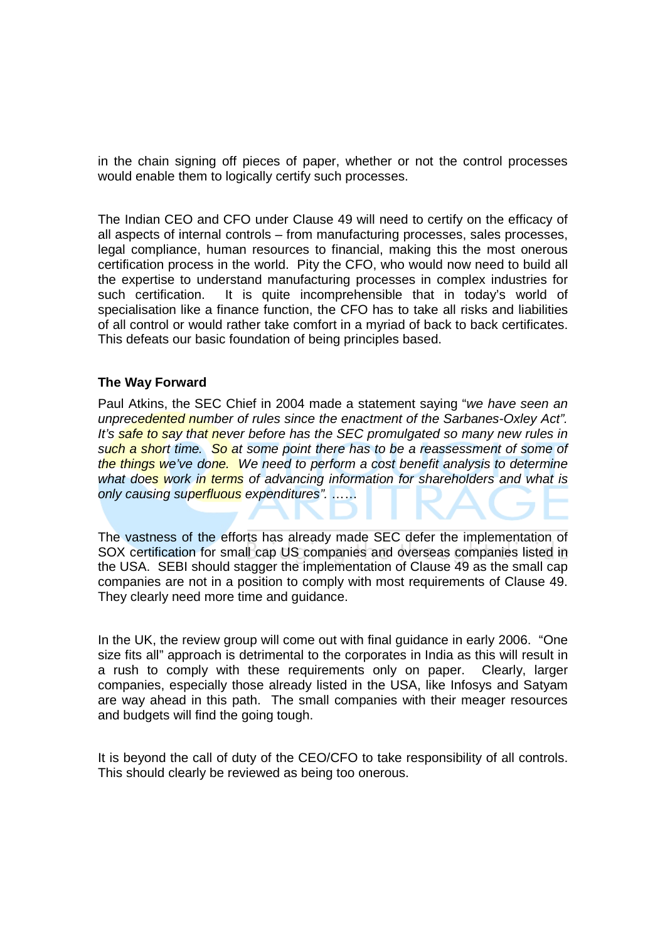in the chain signing off pieces of paper, whether or not the control processes would enable them to logically certify such processes.

The Indian CEO and CFO under Clause 49 will need to certify on the efficacy of all aspects of internal controls – from manufacturing processes, sales processes, legal compliance, human resources to financial, making this the most onerous certification process in the world. Pity the CFO, who would now need to build all the expertise to understand manufacturing processes in complex industries for such certification. It is quite incomprehensible that in today's world of specialisation like a finance function, the CFO has to take all risks and liabilities of all control or would rather take comfort in a myriad of back to back certificates. This defeats our basic foundation of being principles based.

### **The Way Forward**

Paul Atkins, the SEC Chief in 2004 made a statement saying "we have seen an unprecedented number of rules since the enactment of the Sarbanes-Oxley Act". It's safe to say that never before has the SEC promulgated so many new rules in such a short time. So at some point there has to be a reassessment of some of the things we've done. We need to perform a cost benefit analysis to determine what does work in terms of advancing information for shareholders and what is only causing superfluous expenditures". ......

The vastness of the efforts has already made SEC defer the implementation of SOX certification for small cap US companies and overseas companies listed in the USA. SEBI should stagger the implementation of Clause 49 as the small cap companies are not in a position to comply with most requirements of Clause 49. They clearly need more time and guidance.

In the UK, the review group will come out with final guidance in early 2006. "One size fits all" approach is detrimental to the corporates in India as this will result in a rush to comply with these requirements only on paper. Clearly, larger companies, especially those already listed in the USA, like Infosys and Satyam are way ahead in this path. The small companies with their meager resources and budgets will find the going tough.

It is beyond the call of duty of the CEO/CFO to take responsibility of all controls. This should clearly be reviewed as being too onerous.